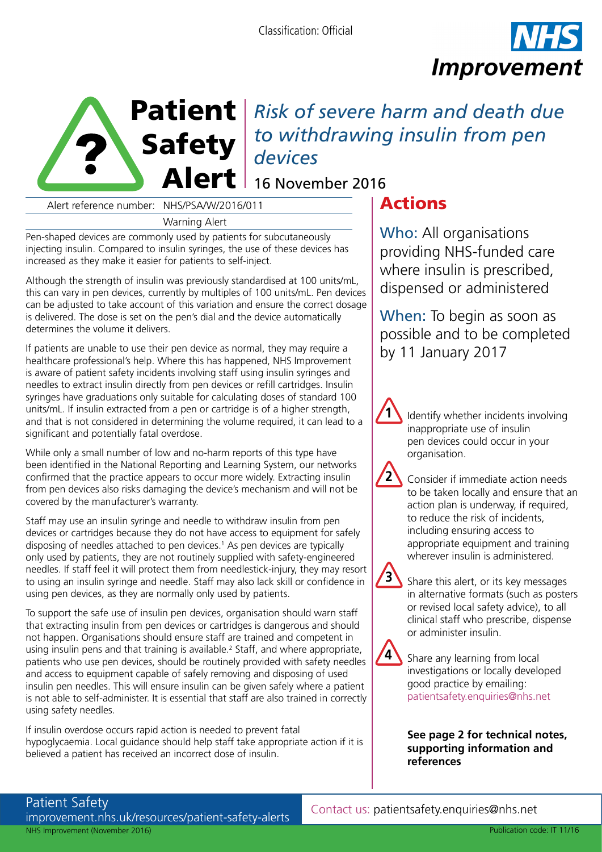



Patient | Risk of severe harm and death due Safety *to withdrawing insulin from pen* 

Alert reference number: NHS/PSA/W/2016/011

Warning Alert

Pen-shaped devices are commonly used by patients for subcutaneously injecting insulin. Compared to insulin syringes, the use of these devices has increased as they make it easier for patients to self-inject.

Although the strength of insulin was previously standardised at 100 units/mL, this can vary in pen devices, currently by multiples of 100 units/mL. Pen devices can be adjusted to take account of this variation and ensure the correct dosage is delivered. The dose is set on the pen's dial and the device automatically determines the volume it delivers.

If patients are unable to use their pen device as normal, they may require a healthcare professional's help. Where this has happened, NHS Improvement is aware of patient safety incidents involving staff using insulin syringes and needles to extract insulin directly from pen devices or refill cartridges. Insulin syringes have graduations only suitable for calculating doses of standard 100 units/mL. If insulin extracted from a pen or cartridge is of a higher strength, and that is not considered in determining the volume required, it can lead to a significant and potentially fatal overdose.

While only a small number of low and no-harm reports of this type have been identified in the National Reporting and Learning System, our networks confirmed that the practice appears to occur more widely. Extracting insulin from pen devices also risks damaging the device's mechanism and will not be covered by the manufacturer's warranty.

Staff may use an insulin syringe and needle to withdraw insulin from pen devices or cartridges because they do not have access to equipment for safely disposing of needles attached to pen devices.<sup>1</sup> As pen devices are typically only used by patients, they are not routinely supplied with safety-engineered needles. If staff feel it will protect them from needlestick-injury, they may resort to using an insulin syringe and needle. Staff may also lack skill or confidence in using pen devices, as they are normally only used by patients.

To support the safe use of insulin pen devices, organisation should warn staff that extracting insulin from pen devices or cartridges is dangerous and should not happen. Organisations should ensure staff are trained and competent in using insulin pens and that training is available.<sup>2</sup> Staff, and where appropriate, patients who use pen devices, should be routinely provided with safety needles and access to equipment capable of safely removing and disposing of used insulin pen needles. This will ensure insulin can be given safely where a patient is not able to self-administer. It is essential that staff are also trained in correctly using safety needles.

If insulin overdose occurs rapid action is needed to prevent fatal hypoglycaemia. Local guidance should help staff take appropriate action if it is believed a patient has received an incorrect dose of insulin.

# Actions

Who: All organisations providing NHS-funded care where insulin is prescribed, dispensed or administered

When: To begin as soon as possible and to be completed by 11 January 2017

Identify whether incidents involving inappropriate use of insulin pen devices could occur in your organisation.

Consider if immediate action needs to be taken locally and ensure that an action plan is underway, if required, to reduce the risk of incidents, including ensuring access to appropriate equipment and training wherever insulin is administered.



**1**

**2**

Share this alert, or its key messages in alternative formats (such as posters or revised local safety advice), to all clinical staff who prescribe, dispense or administer insulin.



Share any learning from local investigations or locally developed good practice by emailing: patientsafety.enquiries@nhs.net

## **See page 2 for technical notes, supporting information and references**

Patient Safety [improvement.nhs.uk/resources/patient-safety-alerts](https://improvement.nhs.uk/resources/patient-safety-alerts/) NHS Improvement (November 2016)